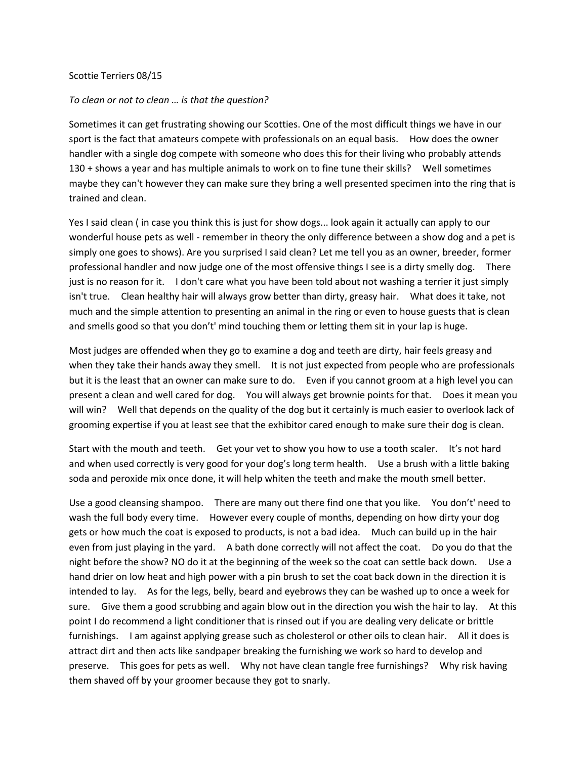## Scottie Terriers 08/15

## *To clean or not to clean … is that the question?*

Sometimes it can get frustrating showing our Scotties. One of the most difficult things we have in our sport is the fact that amateurs compete with professionals on an equal basis. How does the owner handler with a single dog compete with someone who does this for their living who probably attends 130 + shows a year and has multiple animals to work on to fine tune their skills? Well sometimes maybe they can't however they can make sure they bring a well presented specimen into the ring that is trained and clean.

Yes I said clean ( in case you think this is just for show dogs... look again it actually can apply to our wonderful house pets as well - remember in theory the only difference between a show dog and a pet is simply one goes to shows). Are you surprised I said clean? Let me tell you as an owner, breeder, former professional handler and now judge one of the most offensive things I see is a dirty smelly dog. There just is no reason for it. I don't care what you have been told about not washing a terrier it just simply isn't true. Clean healthy hair will always grow better than dirty, greasy hair. What does it take, not much and the simple attention to presenting an animal in the ring or even to house guests that is clean and smells good so that you don't' mind touching them or letting them sit in your lap is huge.

Most judges are offended when they go to examine a dog and teeth are dirty, hair feels greasy and when they take their hands away they smell. It is not just expected from people who are professionals but it is the least that an owner can make sure to do. Even if you cannot groom at a high level you can present a clean and well cared for dog. You will always get brownie points for that. Does it mean you will win? Well that depends on the quality of the dog but it certainly is much easier to overlook lack of grooming expertise if you at least see that the exhibitor cared enough to make sure their dog is clean.

Start with the mouth and teeth. Get your vet to show you how to use a tooth scaler. It's not hard and when used correctly is very good for your dog's long term health. Use a brush with a little baking soda and peroxide mix once done, it will help whiten the teeth and make the mouth smell better.

Use a good cleansing shampoo. There are many out there find one that you like. You don't' need to wash the full body every time. However every couple of months, depending on how dirty your dog gets or how much the coat is exposed to products, is not a bad idea. Much can build up in the hair even from just playing in the yard. A bath done correctly will not affect the coat. Do you do that the night before the show? NO do it at the beginning of the week so the coat can settle back down. Use a hand drier on low heat and high power with a pin brush to set the coat back down in the direction it is intended to lay. As for the legs, belly, beard and eyebrows they can be washed up to once a week for sure. Give them a good scrubbing and again blow out in the direction you wish the hair to lay. At this point I do recommend a light conditioner that is rinsed out if you are dealing very delicate or brittle furnishings. I am against applying grease such as cholesterol or other oils to clean hair. All it does is attract dirt and then acts like sandpaper breaking the furnishing we work so hard to develop and preserve. This goes for pets as well. Why not have clean tangle free furnishings? Why risk having them shaved off by your groomer because they got to snarly.